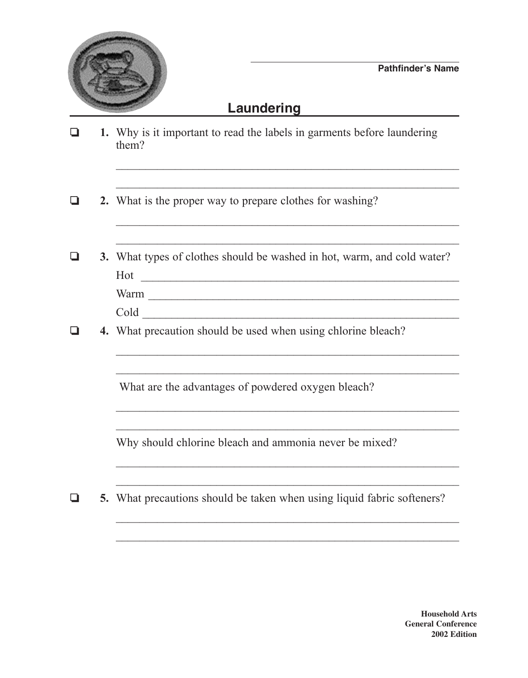

## **Laundering**

| ❏ | 1. Why is it important to read the labels in garments before laundering<br>them?                                                                                                                                                                                                                                       |
|---|------------------------------------------------------------------------------------------------------------------------------------------------------------------------------------------------------------------------------------------------------------------------------------------------------------------------|
|   |                                                                                                                                                                                                                                                                                                                        |
| ப | 2. What is the proper way to prepare clothes for washing?                                                                                                                                                                                                                                                              |
|   |                                                                                                                                                                                                                                                                                                                        |
|   | 3. What types of clothes should be washed in hot, warm, and cold water?<br>Hot<br><u> 1989 - Johann Harry Harry Harry Harry Harry Harry Harry Harry Harry Harry Harry Harry Harry Harry Harry Harry Harry Harry Harry Harry Harry Harry Harry Harry Harry Harry Harry Harry Harry Harry Harry Harry Harry Harry Ha</u> |
|   | Warm                                                                                                                                                                                                                                                                                                                   |
|   | Cold Cold Collection and Collection and Collection and Collection and Collection and Collection and Collection and Collection and Collection and Collection and Collection and Collection and Collection and Collection and Co                                                                                         |
|   | 4. What precaution should be used when using chlorine bleach?                                                                                                                                                                                                                                                          |
|   |                                                                                                                                                                                                                                                                                                                        |
|   | What are the advantages of powdered oxygen bleach?                                                                                                                                                                                                                                                                     |
|   |                                                                                                                                                                                                                                                                                                                        |
|   | Why should chlorine bleach and ammonia never be mixed?                                                                                                                                                                                                                                                                 |
|   |                                                                                                                                                                                                                                                                                                                        |
| ப | 5. What precautions should be taken when using liquid fabric softeners?                                                                                                                                                                                                                                                |
|   |                                                                                                                                                                                                                                                                                                                        |

 $\mathcal{L}_\text{max}$  , and the contract of the contract of the contract of the contract of the contract of the contract of the contract of the contract of the contract of the contract of the contract of the contract of the contr

**Household Arts General Conference 2002 Edition**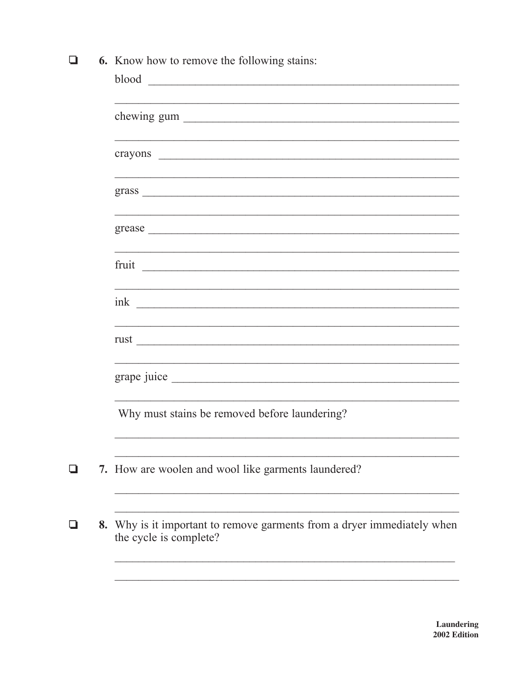6. Know how to remove the following stains:

| blood<br><u> 2000 - Jan Barat, margaret eta bat zen bat zen bat zen bat zen bat zen bat zen bat zen bat zen bat zen bat zen</u>                                                                                                |
|--------------------------------------------------------------------------------------------------------------------------------------------------------------------------------------------------------------------------------|
| chewing gum                                                                                                                                                                                                                    |
|                                                                                                                                                                                                                                |
|                                                                                                                                                                                                                                |
| grease expression and the set of the set of the set of the set of the set of the set of the set of the set of the set of the set of the set of the set of the set of the set of the set of the set of the set of the set of th |
|                                                                                                                                                                                                                                |
|                                                                                                                                                                                                                                |
|                                                                                                                                                                                                                                |
|                                                                                                                                                                                                                                |
| Why must stains be removed before laundering?                                                                                                                                                                                  |
| 7. How are woolen and wool like garments laundered?                                                                                                                                                                            |
| Why is it important to remove garments from a dryer immediately when<br>the cycle is complete?                                                                                                                                 |

 $\Box$ 

 $\Box$ 

 $\Box$